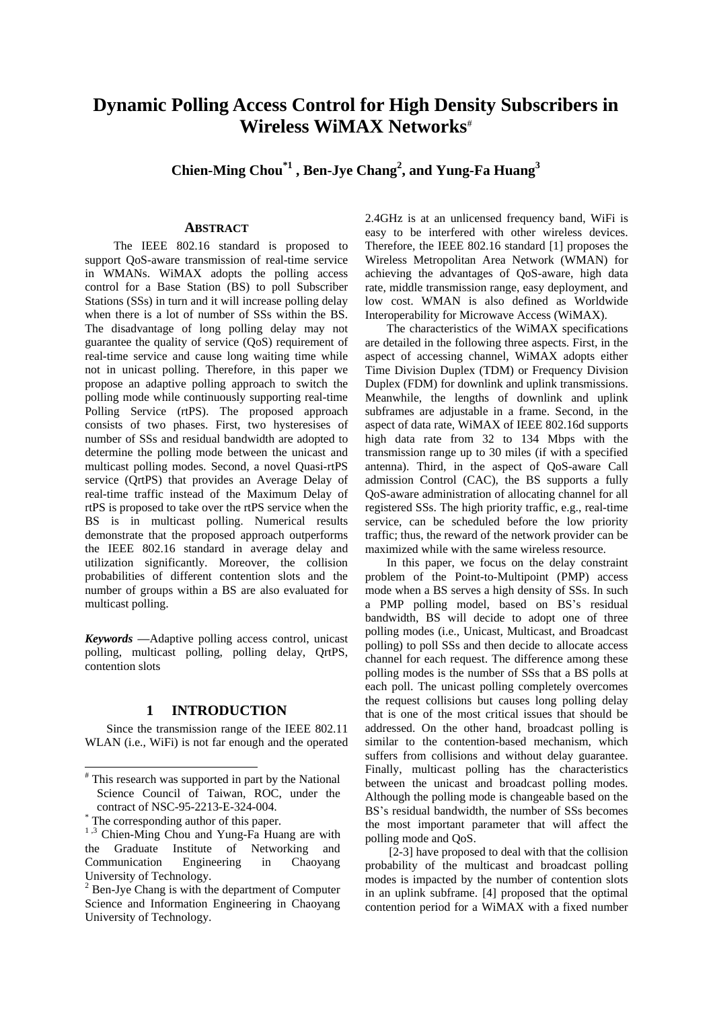# **Dynamic Polling Access Control for High Density Subscribers in Wireless WiMAX Networks**#

**Chien-Ming Chou\*1 , Ben-Jye Chang<sup>2</sup> , and Yung-Fa Huang<sup>3</sup>**

## **ABSTRACT**

The IEEE 802.16 standard is proposed to support QoS-aware transmission of real-time service in WMANs. WiMAX adopts the polling access control for a Base Station (BS) to poll Subscriber Stations (SSs) in turn and it will increase polling delay when there is a lot of number of SSs within the BS. The disadvantage of long polling delay may not guarantee the quality of service (QoS) requirement of real-time service and cause long waiting time while not in unicast polling. Therefore, in this paper we propose an adaptive polling approach to switch the polling mode while continuously supporting real-time Polling Service (rtPS). The proposed approach consists of two phases. First, two hysteresises of number of SSs and residual bandwidth are adopted to determine the polling mode between the unicast and multicast polling modes. Second, a novel Quasi-rtPS service (QrtPS) that provides an Average Delay of real-time traffic instead of the Maximum Delay of rtPS is proposed to take over the rtPS service when the BS is in multicast polling. Numerical results demonstrate that the proposed approach outperforms the IEEE 802.16 standard in average delay and utilization significantly. Moreover, the collision probabilities of different contention slots and the number of groups within a BS are also evaluated for multicast polling.

*Keywords* **—**Adaptive polling access control, unicast polling, multicast polling, polling delay, QrtPS, contention slots

# **1 INTRODUCTION**

Since the transmission range of the IEEE 802.11 WLAN (i.e., WiFi) is not far enough and the operated

 $\overline{a}$ 

2.4GHz is at an unlicensed frequency band, WiFi is easy to be interfered with other wireless devices. Therefore, the IEEE 802.16 standard [1] proposes the Wireless Metropolitan Area Network (WMAN) for achieving the advantages of QoS-aware, high data rate, middle transmission range, easy deployment, and low cost. WMAN is also defined as Worldwide Interoperability for Microwave Access (WiMAX).

The characteristics of the WiMAX specifications are detailed in the following three aspects. First, in the aspect of accessing channel, WiMAX adopts either Time Division Duplex (TDM) or Frequency Division Duplex (FDM) for downlink and uplink transmissions. Meanwhile, the lengths of downlink and uplink subframes are adjustable in a frame. Second, in the aspect of data rate, WiMAX of IEEE 802.16d supports high data rate from 32 to 134 Mbps with the transmission range up to 30 miles (if with a specified antenna). Third, in the aspect of QoS-aware Call admission Control (CAC), the BS supports a fully QoS-aware administration of allocating channel for all registered SSs. The high priority traffic, e.g., real-time service, can be scheduled before the low priority traffic; thus, the reward of the network provider can be maximized while with the same wireless resource.

In this paper, we focus on the delay constraint problem of the Point-to-Multipoint (PMP) access mode when a BS serves a high density of SSs. In such a PMP polling model, based on BS's residual bandwidth, BS will decide to adopt one of three polling modes (i.e., Unicast, Multicast, and Broadcast polling) to poll SSs and then decide to allocate access channel for each request. The difference among these polling modes is the number of SSs that a BS polls at each poll. The unicast polling completely overcomes the request collisions but causes long polling delay that is one of the most critical issues that should be addressed. On the other hand, broadcast polling is similar to the contention-based mechanism, which suffers from collisions and without delay guarantee. Finally, multicast polling has the characteristics between the unicast and broadcast polling modes. Although the polling mode is changeable based on the BS's residual bandwidth, the number of SSs becomes the most important parameter that will affect the polling mode and QoS.

[2-3] have proposed to deal with that the collision probability of the multicast and broadcast polling modes is impacted by the number of contention slots in an uplink subframe. [4] proposed that the optimal contention period for a WiMAX with a fixed number

<sup>#</sup> This research was supported in part by the National Science Council of Taiwan, ROC, under the contract of NSC-95-2213-E-324-004.

<sup>\*</sup> The corresponding author of this paper.

 $1,3$  Chien-Ming Chou and Yung-Fa Huang are with the Graduate Institute of Networking and Communication Engineering in Chaoyang University of Technology.

<sup>2</sup> Ben-Jye Chang is with the department of Computer Science and Information Engineering in Chaoyang University of Technology.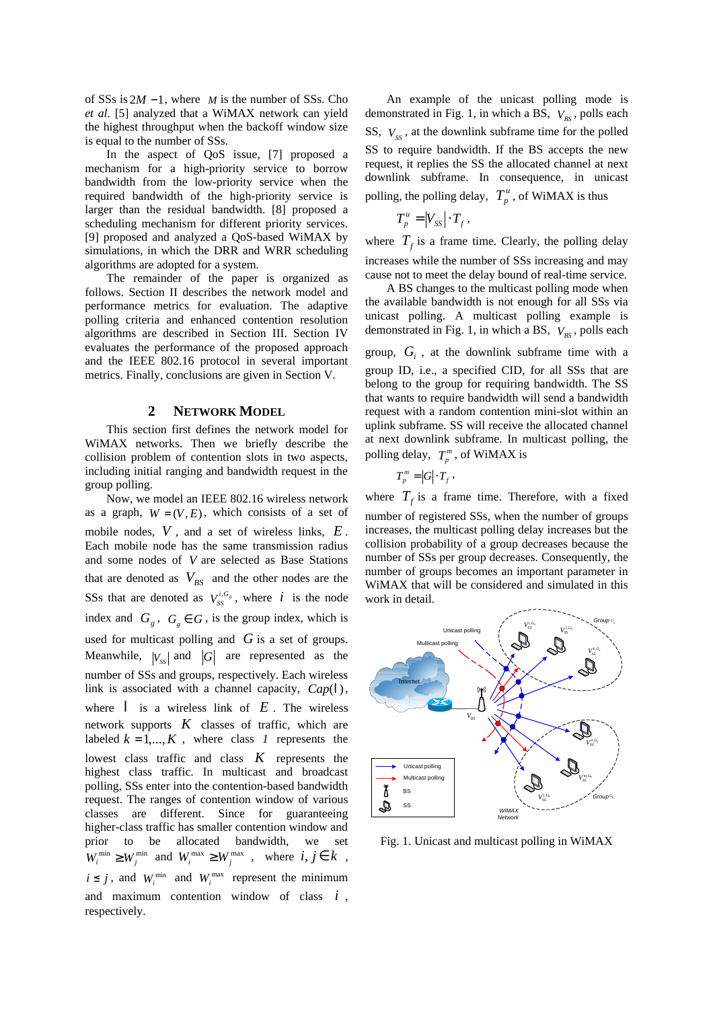of SSs is 2*M* −1, where *M* is the number of SSs. Cho *et al.* [5] analyzed that a WiMAX network can yield the highest throughput when the backoff window size is equal to the number of SSs.

In the aspect of QoS issue, [7] proposed a mechanism for a high-priority service to borrow bandwidth from the low-priority service when the required bandwidth of the high-priority service is larger than the residual bandwidth. [8] proposed a scheduling mechanism for different priority services. [9] proposed and analyzed a QoS-based WiMAX by simulations, in which the DRR and WRR scheduling algorithms are adopted for a system.

The remainder of the paper is organized as follows. Section II describes the network model and performance metrics for evaluation. The adaptive polling criteria and enhanced contention resolution algorithms are described in Section III. Section IV evaluates the performance of the proposed approach and the IEEE 802.16 protocol in several important metrics. Finally, conclusions are given in Section V.

#### **2 NETWORK MODEL**

This section first defines the network model for WiMAX networks. Then we briefly describe the collision problem of contention slots in two aspects, including initial ranging and bandwidth request in the group polling.

Now, we model an IEEE 802.16 wireless network as a graph,  $W = (V, E)$ , which consists of a set of mobile nodes, *V* , and a set of wireless links, *E* . Each mobile node has the same transmission radius and some nodes of *V* are selected as Base Stations that are denoted as  $V_{BS}$  and the other nodes are the SSs that are denoted as  $V_{ss}^{i,G_s}$ , where *i* is the node index and  $G_g$ ,  $G_g \in G$ , is the group index, which is used for multicast polling and *G* is a set of groups. Meanwhile,  $|V_{ss}|$  and  $|G|$  are represented as the number of SSs and groups, respectively. Each wireless link is associated with a channel capacity,  $Cap(1)$ , where  $\bf{l}$  is a wireless link of  $\bf{E}$ . The wireless network supports *K* classes of traffic, which are labeled  $k = 1, ..., K$ , where class *1* represents the lowest class traffic and class *K* represents the highest class traffic. In multicast and broadcast polling, SSs enter into the contention-based bandwidth request. The ranges of contention window of various classes are different. Since for guaranteeing higher-class traffic has smaller contention window and prior to be allocated bandwidth, we set  $W_i^{\min} \geq W_j^{\min}$  and  $W_i^{\max} \geq W_j^{\max}$ , where  $i, j \in k$ ,  $i \leq j$ , and  $W_i^{\min}$  and  $W_i^{\max}$  represent the minimum and maximum contention window of class *i* , respectively.

An example of the unicast polling mode is demonstrated in Fig. 1, in which a BS,  $V_{BS}$ , polls each SS,  $V_{ss}$ , at the downlink subframe time for the polled SS to require bandwidth. If the BS accepts the new request, it replies the SS the allocated channel at next downlink subframe. In consequence, in unicast polling, the polling delay,  $T_p^u$ , of WiMAX is thus

$$
T_p^u = |V_{SS}| \cdot T_f,
$$

where  $T_f$  is a frame time. Clearly, the polling delay increases while the number of SSs increasing and may cause not to meet the delay bound of real-time service.

A BS changes to the multicast polling mode when the available bandwidth is not enough for all SSs via unicast polling. A multicast polling example is demonstrated in Fig. 1, in which a BS,  $V_{BS}$ , polls each

group,  $G_i$ , at the downlink subframe time with a group ID, i.e., a specified CID, for all SSs that are belong to the group for requiring bandwidth. The SS that wants to require bandwidth will send a bandwidth request with a random contention mini-slot within an uplink subframe. SS will receive the allocated channel at next downlink subframe. In multicast polling, the polling delay,  $T_p^m$ , of WiMAX is

$$
T_p^m = |G| \cdot T_f,
$$

where  $T_f$  is a frame time. Therefore, with a fixed number of registered SSs, when the number of groups increases, the multicast polling delay increases but the collision probability of a group decreases because the number of SSs per group decreases. Consequently, the number of groups becomes an important parameter in WiMAX that will be considered and simulated in this work in detail.



Fig. 1. Unicast and multicast polling in WiMAX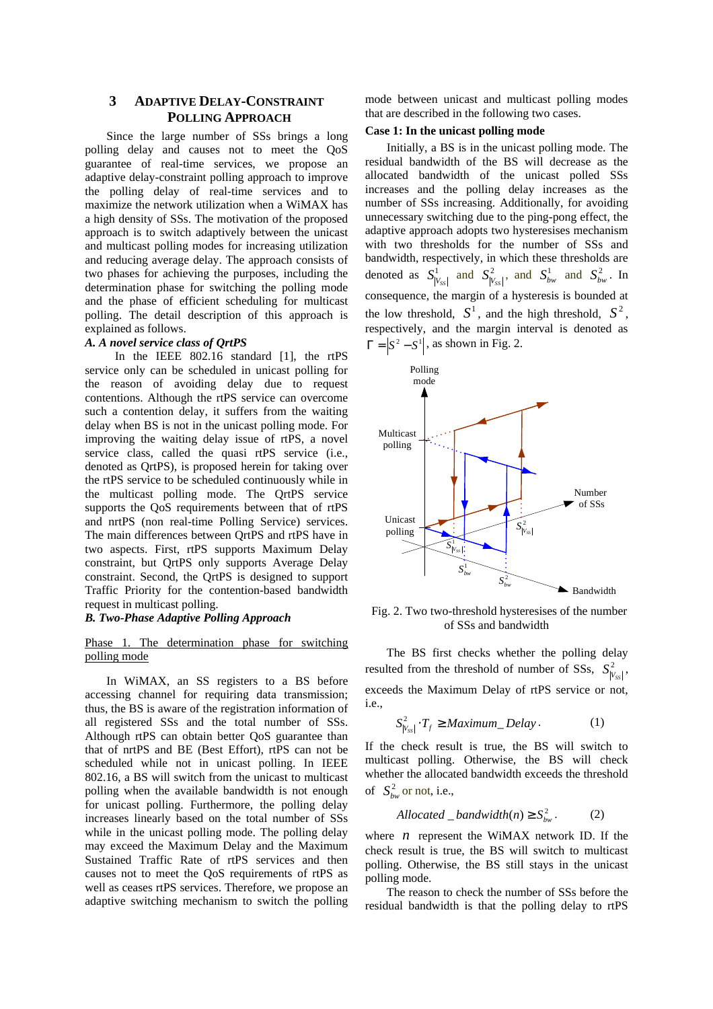# **3 ADAPTIVE DELAY-CONSTRAINT POLLING APPROACH**

Since the large number of SSs brings a long polling delay and causes not to meet the QoS guarantee of real-time services, we propose an adaptive delay-constraint polling approach to improve the polling delay of real-time services and to maximize the network utilization when a WiMAX has a high density of SSs. The motivation of the proposed approach is to switch adaptively between the unicast and multicast polling modes for increasing utilization and reducing average delay. The approach consists of two phases for achieving the purposes, including the determination phase for switching the polling mode and the phase of efficient scheduling for multicast polling. The detail description of this approach is explained as follows.

#### *A. A novel service class of QrtPS*

In the IEEE 802.16 standard [1], the rtPS service only can be scheduled in unicast polling for the reason of avoiding delay due to request contentions. Although the rtPS service can overcome such a contention delay, it suffers from the waiting delay when BS is not in the unicast polling mode. For improving the waiting delay issue of rtPS, a novel service class, called the quasi rtPS service (i.e., denoted as QrtPS), is proposed herein for taking over the rtPS service to be scheduled continuously while in the multicast polling mode. The QrtPS service supports the QoS requirements between that of rtPS and nrtPS (non real-time Polling Service) services. The main differences between QrtPS and rtPS have in two aspects. First, rtPS supports Maximum Delay constraint, but QrtPS only supports Average Delay constraint. Second, the QrtPS is designed to support Traffic Priority for the contention-based bandwidth request in multicast polling.

#### *B. Two-Phase Adaptive Polling Approach*

#### Phase 1. The determination phase for switching polling mode

In WiMAX, an SS registers to a BS before accessing channel for requiring data transmission; thus, the BS is aware of the registration information of all registered SSs and the total number of SSs. Although rtPS can obtain better QoS guarantee than that of nrtPS and BE (Best Effort), rtPS can not be scheduled while not in unicast polling. In IEEE 802.16, a BS will switch from the unicast to multicast polling when the available bandwidth is not enough for unicast polling. Furthermore, the polling delay increases linearly based on the total number of SSs while in the unicast polling mode. The polling delay may exceed the Maximum Delay and the Maximum Sustained Traffic Rate of rtPS services and then causes not to meet the QoS requirements of rtPS as well as ceases rtPS services. Therefore, we propose an adaptive switching mechanism to switch the polling

mode between unicast and multicast polling modes that are described in the following two cases.

#### **Case 1: In the unicast polling mode**

Initially, a BS is in the unicast polling mode. The residual bandwidth of the BS will decrease as the allocated bandwidth of the unicast polled SSs increases and the polling delay increases as the number of SSs increasing. Additionally, for avoiding unnecessary switching due to the ping-pong effect, the adaptive approach adopts two hysteresises mechanism with two thresholds for the number of SSs and bandwidth, respectively, in which these thresholds are denoted as  $S<sub>1x</sub><sup>1</sup>$  $S^1_{|V_{SS}|}$  and  $S^2_{|V_{SS}|}$ , and  $S^1_{bw}$  and  $S^2_{bw}$ . In consequence, the margin of a hysteresis is bounded at the low threshold,  $S^1$ , and the high threshold,  $S^2$ , respectively, and the margin interval is denoted as  $\Gamma = |S^2 - S^1|$ , as shown in Fig. 2.



Fig. 2. Two two-threshold hysteresises of the number of SSs and bandwidth

The BS first checks whether the polling delay resulted from the threshold of number of SSs,  $S^2_{|V_{ss}|}$ , exceeds the Maximum Delay of rtPS service or not, i.e.,

$$
S_{|V_{ss}|}^2 \cdot T_f \geq Maximum\_Delay. \tag{1}
$$

If the check result is true, the BS will switch to multicast polling. Otherwise, the BS will check whether the allocated bandwidth exceeds the threshold of  $S_{bw}^2$  or not, i.e.,

$$
Allocated\_bandwidth(n) \ge S_{bw}^2. \tag{2}
$$

where *n* represent the WiMAX network ID. If the check result is true, the BS will switch to multicast polling. Otherwise, the BS still stays in the unicast polling mode.

The reason to check the number of SSs before the residual bandwidth is that the polling delay to rtPS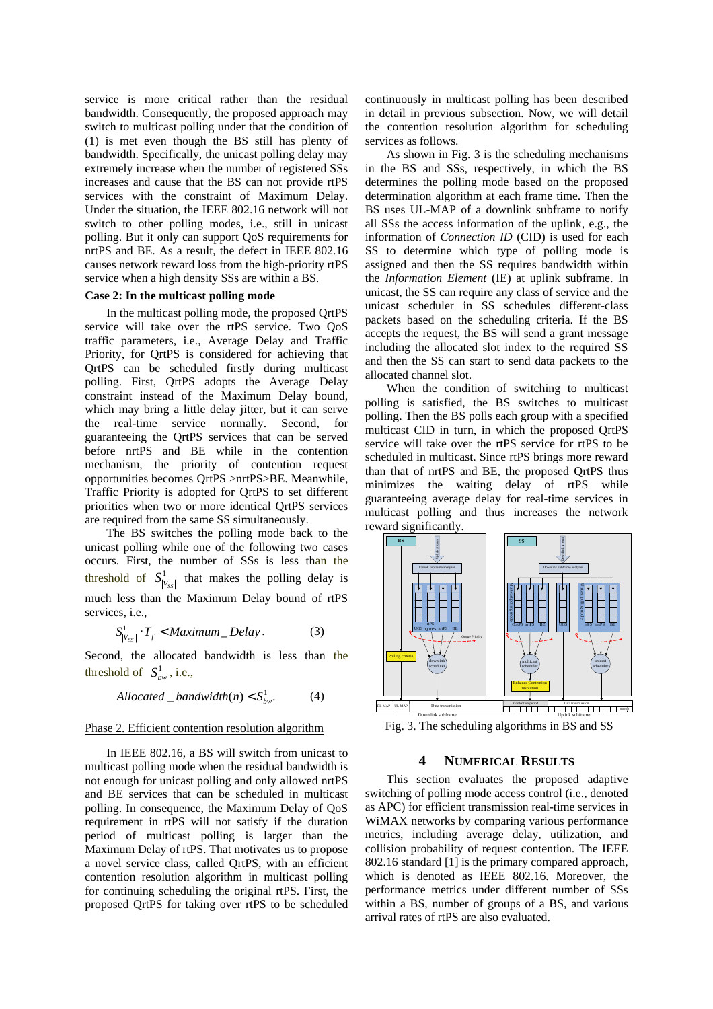service is more critical rather than the residual bandwidth. Consequently, the proposed approach may switch to multicast polling under that the condition of (1) is met even though the BS still has plenty of bandwidth. Specifically, the unicast polling delay may extremely increase when the number of registered SSs increases and cause that the BS can not provide rtPS services with the constraint of Maximum Delay. Under the situation, the IEEE 802.16 network will not switch to other polling modes, i.e., still in unicast polling. But it only can support QoS requirements for nrtPS and BE. As a result, the defect in IEEE 802.16 causes network reward loss from the high-priority rtPS service when a high density SSs are within a BS.

## **Case 2: In the multicast polling mode**

In the multicast polling mode, the proposed QrtPS service will take over the rtPS service. Two QoS traffic parameters, i.e., Average Delay and Traffic Priority, for QrtPS is considered for achieving that QrtPS can be scheduled firstly during multicast polling. First, QrtPS adopts the Average Delay constraint instead of the Maximum Delay bound, which may bring a little delay jitter, but it can serve the real-time service normally. Second, for guaranteeing the QrtPS services that can be served before nrtPS and BE while in the contention mechanism, the priority of contention request opportunities becomes QrtPS >nrtPS>BE. Meanwhile, Traffic Priority is adopted for QrtPS to set different priorities when two or more identical QrtPS services are required from the same SS simultaneously.

The BS switches the polling mode back to the unicast polling while one of the following two cases occurs. First, the number of SSs is less than the threshold of  $S_{|V_{ss}|}^1$  that makes the polling delay is much less than the Maximum Delay bound of rtPS services, i.e.,

$$
S^1_{|V_{ss}|} \cdot T_f < Maximum\_Delay. \tag{3}
$$

Second, the allocated bandwidth is less than the threshold of  $S^1_{bw}$ , i.e.,

$$
Allocated\_bandwidth(n) < S_{bw}^1. \tag{4}
$$

#### Phase 2. Efficient contention resolution algorithm

In IEEE 802.16, a BS will switch from unicast to multicast polling mode when the residual bandwidth is not enough for unicast polling and only allowed nrtPS and BE services that can be scheduled in multicast polling. In consequence, the Maximum Delay of QoS requirement in rtPS will not satisfy if the duration period of multicast polling is larger than the Maximum Delay of rtPS. That motivates us to propose a novel service class, called QrtPS, with an efficient contention resolution algorithm in multicast polling for continuing scheduling the original rtPS. First, the proposed QrtPS for taking over rtPS to be scheduled continuously in multicast polling has been described in detail in previous subsection. Now, we will detail the contention resolution algorithm for scheduling services as follows.

As shown in Fig. 3 is the scheduling mechanisms in the BS and SSs, respectively, in which the BS determines the polling mode based on the proposed determination algorithm at each frame time. Then the BS uses UL-MAP of a downlink subframe to notify all SSs the access information of the uplink, e.g., the information of *Connection ID* (CID) is used for each SS to determine which type of polling mode is assigned and then the SS requires bandwidth within the *Information Element* (IE) at uplink subframe. In unicast, the SS can require any class of service and the unicast scheduler in SS schedules different-class packets based on the scheduling criteria. If the BS accepts the request, the BS will send a grant message including the allocated slot index to the required SS and then the SS can start to send data packets to the allocated channel slot.

When the condition of switching to multicast polling is satisfied, the BS switches to multicast polling. Then the BS polls each group with a specified multicast CID in turn, in which the proposed QrtPS service will take over the rtPS service for rtPS to be scheduled in multicast. Since rtPS brings more reward than that of nrtPS and BE, the proposed QrtPS thus minimizes the waiting delay of rtPS while guaranteeing average delay for real-time services in multicast polling and thus increases the network reward significantly.



Fig. 3. The scheduling algorithms in BS and SS

#### **4 NUMERICAL RESULTS**

This section evaluates the proposed adaptive switching of polling mode access control (i.e., denoted as APC) for efficient transmission real-time services in WiMAX networks by comparing various performance metrics, including average delay, utilization, and collision probability of request contention. The IEEE 802.16 standard [1] is the primary compared approach, which is denoted as IEEE 802.16. Moreover, the performance metrics under different number of SSs within a BS, number of groups of a BS, and various arrival rates of rtPS are also evaluated.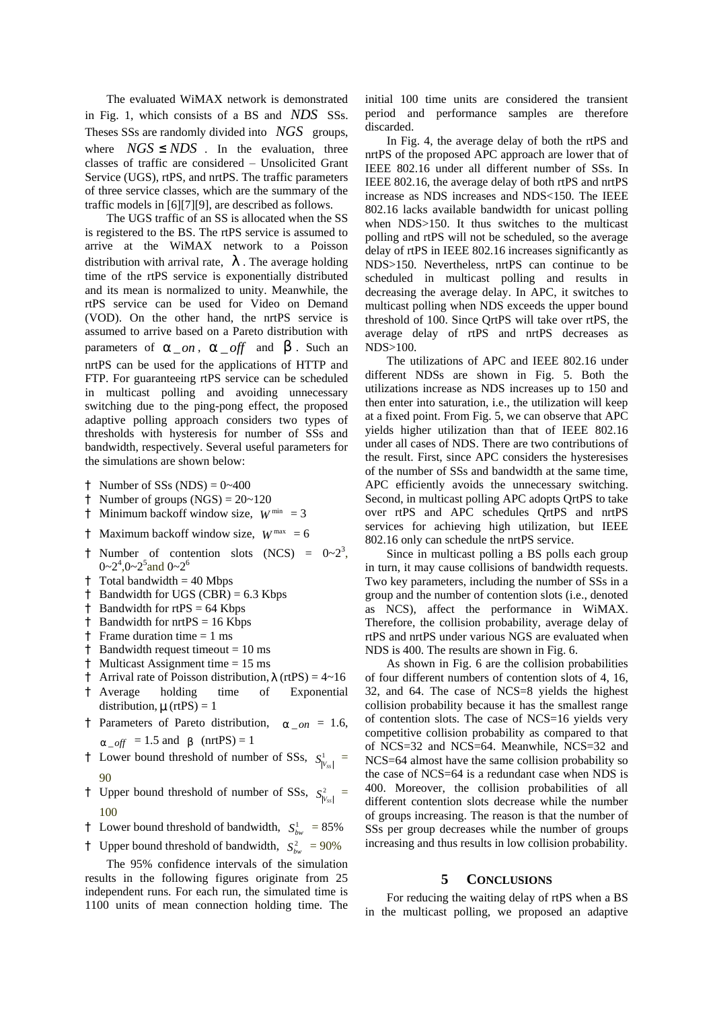The evaluated WiMAX network is demonstrated in Fig. 1, which consists of a BS and *NDS* SSs. Theses SSs are randomly divided into *NGS* groups, where  $NGS \le NDS$ . In the evaluation, three classes of traffic are considered – Unsolicited Grant Service (UGS), rtPS, and nrtPS. The traffic parameters of three service classes, which are the summary of the traffic models in [6][7][9], are described as follows.

The UGS traffic of an SS is allocated when the SS is registered to the BS. The rtPS service is assumed to arrive at the WiMAX network to a Poisson distribution with arrival rate, *l* . The average holding time of the rtPS service is exponentially distributed and its mean is normalized to unity. Meanwhile, the rtPS service can be used for Video on Demand (VOD). On the other hand, the nrtPS service is assumed to arrive based on a Pareto distribution with parameters of  $a_{\text{on}}$ ,  $a_{\text{off}}$  and  $b$ . Such an nrtPS can be used for the applications of HTTP and FTP. For guaranteeing rtPS service can be scheduled in multicast polling and avoiding unnecessary switching due to the ping-pong effect, the proposed adaptive polling approach considers two types of thresholds with hysteresis for number of SSs and bandwidth, respectively. Several useful parameters for the simulations are shown below:

Number of SSs  $(NDS) = 0$ ~400 Number of groups  $(NGS) = 20~120$ Minimum backoff window size,  $W^{\min} = 3$ Maximum backoff window size,  $W^{\text{max}} = 6$ Number of contention slots (NCS) =  $0 \sim 2^3$ ,  $0 - 2^4$ ,  $0 - 2^5$  and  $0 - 2^6$ Total bandwidth  $= 40$  Mbps Bandwidth for UGS  $(CBR) = 6.3$  Kbps Bandwidth for  $rtPS = 64$  Kbps Bandwidth for  $nrtPS = 16$  Kbps Frame duration time  $= 1$  ms Bandwidth request timeout  $= 10$  ms Multicast Assignment time  $= 15$  ms Arrival rate of Poisson distribution, *l* (rtPS) = 4~16 Average holding time of Exponential distribution,  $m$  (rtPS) = 1 Parameters of Pareto distribution,  $a_{on} = 1.6$ ,  $a_{\text{eff}} = 1.5$  and *b* (nrtPS) = 1 Lower bound threshold of number of SSs,  $S^1_{|V_{ss}|} =$ 90 Upper bound threshold of number of SSs,  $S_{|V_{ss}|}^2 =$ 100

Lower bound threshold of bandwidth,  $S_{bw}^1 = 85\%$ 

Upper bound threshold of bandwidth,  $S_{bw}^2 = 90\%$ 

The 95% confidence intervals of the simulation results in the following figures originate from 25 independent runs. For each run, the simulated time is 1100 units of mean connection holding time. The initial 100 time units are considered the transient period and performance samples are therefore discarded.

In Fig. 4, the average delay of both the rtPS and nrtPS of the proposed APC approach are lower that of IEEE 802.16 under all different number of SSs. In IEEE 802.16, the average delay of both rtPS and nrtPS increase as NDS increases and NDS<150. The IEEE 802.16 lacks available bandwidth for unicast polling when NDS>150. It thus switches to the multicast polling and rtPS will not be scheduled, so the average delay of rtPS in IEEE 802.16 increases significantly as NDS>150. Nevertheless, nrtPS can continue to be scheduled in multicast polling and results in decreasing the average delay. In APC, it switches to multicast polling when NDS exceeds the upper bound threshold of 100. Since QrtPS will take over rtPS, the average delay of rtPS and nrtPS decreases as NDS>100.

The utilizations of APC and IEEE 802.16 under different NDSs are shown in Fig. 5. Both the utilizations increase as NDS increases up to 150 and then enter into saturation, i.e., the utilization will keep at a fixed point. From Fig. 5, we can observe that APC yields higher utilization than that of IEEE 802.16 under all cases of NDS. There are two contributions of the result. First, since APC considers the hysteresises of the number of SSs and bandwidth at the same time, APC efficiently avoids the unnecessary switching. Second, in multicast polling APC adopts QrtPS to take over rtPS and APC schedules QrtPS and nrtPS services for achieving high utilization, but IEEE 802.16 only can schedule the nrtPS service.

Since in multicast polling a BS polls each group in turn, it may cause collisions of bandwidth requests. Two key parameters, including the number of SSs in a group and the number of contention slots (i.e., denoted as NCS), affect the performance in WiMAX. Therefore, the collision probability, average delay of rtPS and nrtPS under various NGS are evaluated when NDS is 400. The results are shown in Fig. 6.

As shown in Fig. 6 are the collision probabilities of four different numbers of contention slots of 4, 16, 32, and 64. The case of NCS=8 yields the highest collision probability because it has the smallest range of contention slots. The case of NCS=16 yields very competitive collision probability as compared to that of NCS=32 and NCS=64. Meanwhile, NCS=32 and NCS=64 almost have the same collision probability so the case of NCS=64 is a redundant case when NDS is 400. Moreover, the collision probabilities of all different contention slots decrease while the number of groups increasing. The reason is that the number of SSs per group decreases while the number of groups increasing and thus results in low collision probability.

# **5 CONCLUSIONS**

For reducing the waiting delay of rtPS when a BS in the multicast polling, we proposed an adaptive